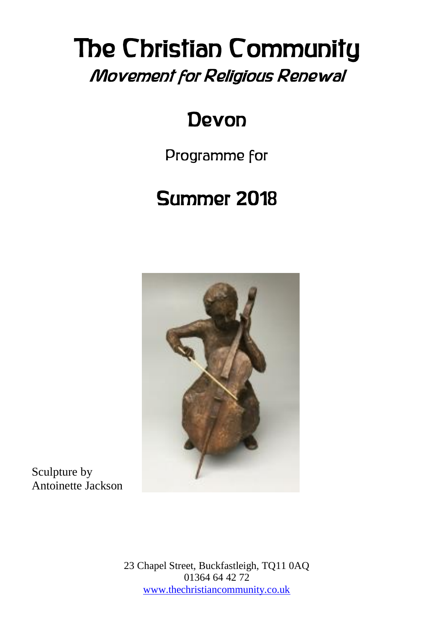# The Christian Community Movement for Religious Renewal

### Devon

Programme for

## Summer 2018



Sculpture by Antoinette Jackson

> 23 Chapel Street, Buckfastleigh, TQ11 0AQ 01364 64 42 72 [www.thechristiancommunity.co.uk](http://www.thechristiancommunity.co.uk/)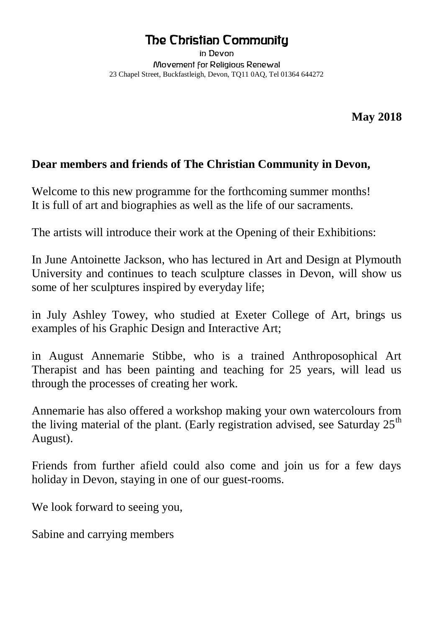#### The Christian Community

in Devon Movement for Religious Renewal 23 Chapel Street, Buckfastleigh, Devon, TQ11 0AQ, Tel 01364 644272

**May 2018**

#### **Dear members and friends of The Christian Community in Devon,**

Welcome to this new programme for the forthcoming summer months! It is full of art and biographies as well as the life of our sacraments.

The artists will introduce their work at the Opening of their Exhibitions:

In June Antoinette Jackson, who has lectured in Art and Design at Plymouth University and continues to teach sculpture classes in Devon, will show us some of her sculptures inspired by everyday life;

in July Ashley Towey, who studied at Exeter College of Art, brings us examples of his Graphic Design and Interactive Art;

in August Annemarie Stibbe, who is a trained Anthroposophical Art Therapist and has been painting and teaching for 25 years, will lead us through the processes of creating her work.

Annemarie has also offered a workshop making your own watercolours from the living material of the plant. (Early registration advised, see Saturday  $25<sup>th</sup>$ August).

Friends from further afield could also come and join us for a few days holiday in Devon, staying in one of our guest-rooms.

We look forward to seeing you,

Sabine and carrying members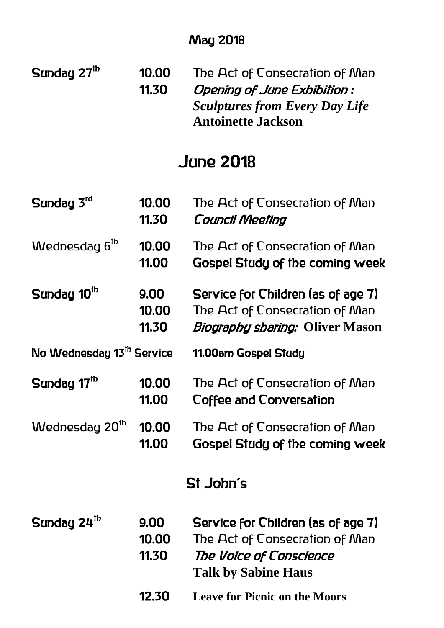#### May 2018

Sunday 2 $7^{\mathrm{th}}$ 10.00 The Act of Consecration of Man 11.30 Opening of June Exhibition *: Sculptures from Every Day Life*  **Antoinette Jackson**

### June 2018

| Sunday 3rd                            | 10.00<br>11.30         | The Act of Consecration of Man<br><b>Council Meeting</b>                                                                      |  |
|---------------------------------------|------------------------|-------------------------------------------------------------------------------------------------------------------------------|--|
| Wednesday 6 <sup>th</sup>             | 10.00<br>11.00         | The Act of Consecration of Man<br><b>Gospel Study of the coming week</b>                                                      |  |
| Sunday 10 <sup>th</sup>               | 9.00<br>10.00<br>11.30 | Service for Children (as of age 7)<br>The Act of Consecration of Man<br><i>Biography sharing:</i> Oliver Mason                |  |
| No Wednesday 13 <sup>th</sup> Service |                        | 11.00am Gospel Study                                                                                                          |  |
| Sunday 17 <sup>th</sup>               | 10.00<br>11.00         | The Act of Consecration of Man<br>Coffee and Conversation                                                                     |  |
| Wednesday 20 <sup>th</sup>            | 10.00<br>11.00         | The Act of Consecration of Man<br><b>Gospel Study of the coming week</b>                                                      |  |
| St John's                             |                        |                                                                                                                               |  |
| Sunday 24 <sup>th</sup>               | 9.00<br>10.00<br>11.30 | Service for Children (as of age 7)<br>The Act of Consecration of Man<br>The Voice of Conscience<br><b>Talk by Sabine Haus</b> |  |
|                                       | 12.30                  | <b>Leave for Picnic on the Moors</b>                                                                                          |  |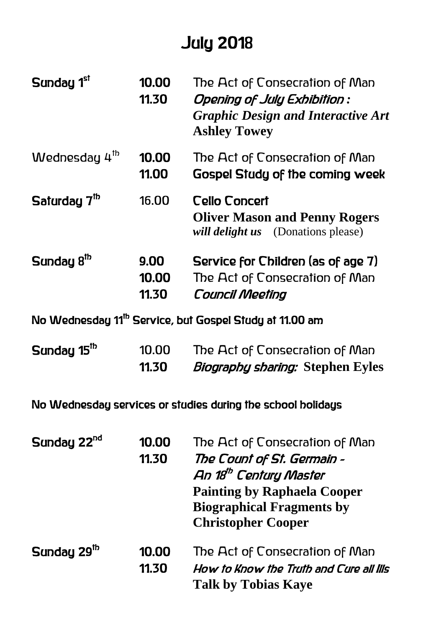### July 2018

| Sunday 1st                | 10.00<br>11.30         | The Act of Consecration of Man<br>Opening of July Exhibition :<br><b>Graphic Design and Interactive Art</b><br><b>Ashley Towey</b> |
|---------------------------|------------------------|------------------------------------------------------------------------------------------------------------------------------------|
| Wednesday 4 <sup>th</sup> | 10.00<br>11.00         | The Act of Consecration of Man<br>Gospel Study of the coming week                                                                  |
| Saturday $7th$            | 16.00                  | Cello Concert<br><b>Oliver Mason and Penny Rogers</b><br>will delight us (Donations please)                                        |
| Sunday 8 <sup>th</sup>    | 9.00<br>10.00<br>11.30 | Service for Children (as of age 7)<br>The Act of Consecration of Man<br><b>Council Meeting</b>                                     |

No Wednesday 11<sup>th</sup> Service, but Gospel Study at 11.00 am

| Sunday 15 <sup>th</sup> | 10.00 | The Act of Consecration of Man          |  |
|-------------------------|-------|-----------------------------------------|--|
|                         | 11.30 | <i>Biography sharing: Stephen Eyles</i> |  |

No Wednesday services or studies during the school holidays

| Sunday 22 <sup>nd</sup> | 10.00<br>11.30 | The Act of Consecration of Man<br>The Count of St. Germain -<br>An 18 <sup>th</sup> Century Master<br><b>Painting by Raphaela Cooper</b><br><b>Biographical Fragments by</b><br><b>Christopher Cooper</b> |  |
|-------------------------|----------------|-----------------------------------------------------------------------------------------------------------------------------------------------------------------------------------------------------------|--|
| Sunday 29 <sup>th</sup> | 10.00<br>11.30 | The Act of Consecration of Man<br>How to Know the Truth and Cure all lils<br><b>Talk by Tobias Kaye</b>                                                                                                   |  |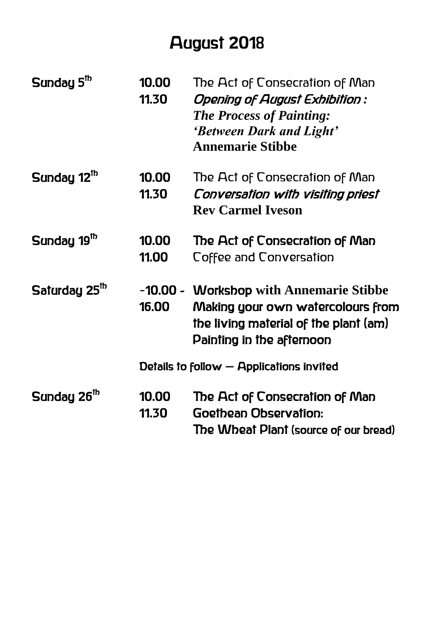### August 2018

| Sunday 5 <sup>th</sup>    | 10.00<br>11.30                             | The Act of Consecration of Man<br>Opening of August Exhibition :<br><b>The Process of Painting:</b><br>'Between Dark and Light'<br><b>Annemarie Stibbe</b> |
|---------------------------|--------------------------------------------|------------------------------------------------------------------------------------------------------------------------------------------------------------|
| Sunday 12 <sup>th</sup>   | 10.00<br>11.30                             | The Act of Consecration of Man<br>Conversation with visiting priest<br><b>Rev Carmel Iveson</b>                                                            |
| Sunday 19 <sup>th</sup>   | 10.00<br>11.00                             | The Act of Consecration of Man<br>Coffee and Conversation                                                                                                  |
| Saturday 25 <sup>10</sup> | 16.00                                      | ~10.00 - Workshop with Annemarie Stibbe<br>Making your own watercolours from<br>the living material of the plant (am)<br>Painting in the afternoon         |
|                           | Details to follow $-$ Applications invited |                                                                                                                                                            |
| Sunday 26 <sup>th</sup>   | 10.00<br>11.30                             | The Act of Consecration of Man<br>Goethean Observation:<br>The Wheat Plant (source of our bread)                                                           |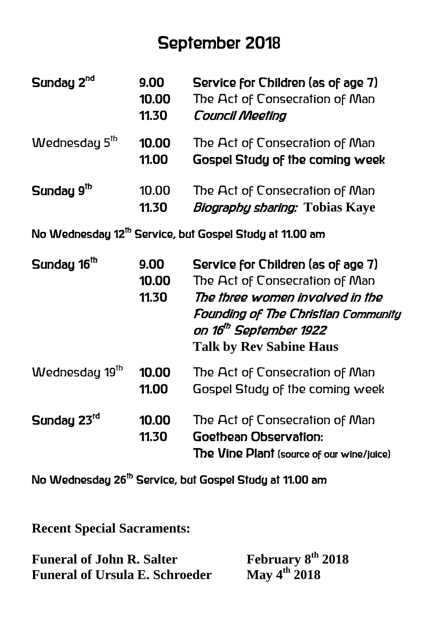### September 2018

| Sunday 2 <sup>nd</sup>     | 9.00<br>10.00<br>11.30 | Service for Children (as of age 7)<br>The Act of Consecration of Man<br><b>Council Meeting</b>                                                                                                                                |
|----------------------------|------------------------|-------------------------------------------------------------------------------------------------------------------------------------------------------------------------------------------------------------------------------|
| Wednesday 5 <sup>th</sup>  | 10.00<br>11.00         | The Act of Consecration of Man<br><b>Gospel Study of the coming week</b>                                                                                                                                                      |
| Sunday 9 <sup>th</sup>     | 10.00<br>11.30         | The Act of Consecration of Man<br><i>Biography sharing:</i> Tobias Kaye                                                                                                                                                       |
|                            |                        | No Wednesday 12 <sup>th</sup> Service, but Gospel Study at 11.00 am                                                                                                                                                           |
| Sunday 16 <sup>th</sup>    | 9.00<br>10.00<br>11.30 | Service for Children (as of age 7)<br>The Act of Consecration of Man<br>The three women involved in the<br><b>Founding of The Christian Community</b><br>on 16 <sup>th</sup> September 1922<br><b>Talk by Rev Sabine Haus</b> |
| Wednesday 19 <sup>th</sup> | 10.00<br>11.00         | The Act of Consecration of Man<br>Gospel Study of the coming week                                                                                                                                                             |
| Sunday 23rd                | 10.00<br>11.30         | The Act of Consecration of Man<br>Goethean Observation:<br>The Vine Plant (source of our wine/juice)                                                                                                                          |

No Wednesday 26<sup>th</sup> Service, but Gospel Study at 11.00 am

**Recent Special Sacraments:**

| <b>Funeral of John R. Salter</b>      | February 8 <sup>th</sup> 2018 |
|---------------------------------------|-------------------------------|
| <b>Funeral of Ursula E. Schroeder</b> | May $4^{th}$ 2018             |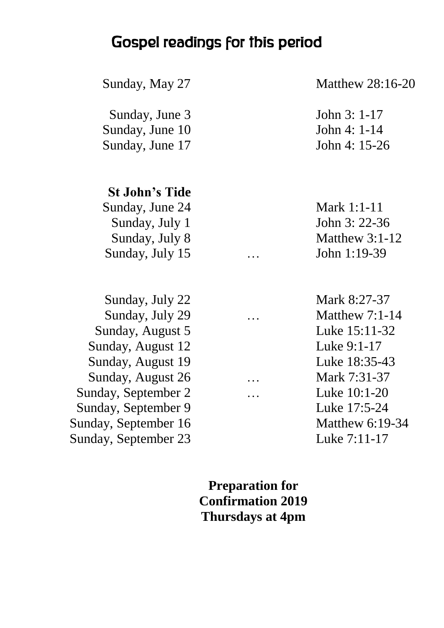#### Gospel readings for this period

Sunday, June 3 John 3: 1-17 Sunday, June 10 John 4: 1-14 Sunday, June 17 John 4: 15-26

#### **St John's Tide**

Sunday, June 24 Mark 1:1-11 Sunday, July 1 John 3: 22-36 Sunday, July 15 … John 1:19-39

Sunday, July 22 Mark 8:27-37 Sunday, July 29 … Matthew 7:1-14 Sunday, August 5 Luke 15:11-32 Sunday, August 12 Luke 9:1-17 Sunday, August 19 Luke 18:35-43 Sunday, August 26 … Mark 7:31-37 Sunday, September 2 … Luke 10:1-20 Sunday, September 9 Luke 17:5-24 Sunday, September 16 Matthew 6:19-34 Sunday, September 23 Luke 7:11-17

Sunday, May 27 Matthew 28:16-20

Sunday, July 8 Matthew 3:1-12

**Preparation for Confirmation 2019 Thursdays at 4pm**